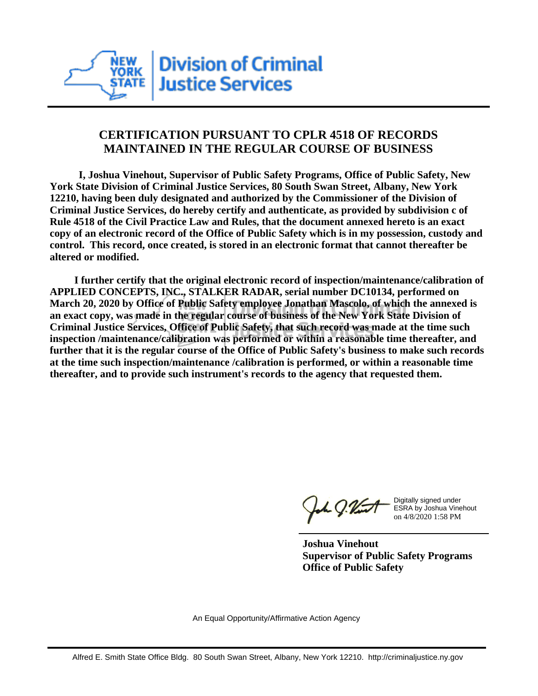

## **CERTIFICATION PURSUANT TO CPLR 4518 OF RECORDS MAINTAINED IN THE REGULAR COURSE OF BUSINESS**

 **I, Joshua Vinehout, Supervisor of Public Safety Programs, Office of Public Safety, New York State Division of Criminal Justice Services, 80 South Swan Street, Albany, New York 12210, having been duly designated and authorized by the Commissioner of the Division of Criminal Justice Services, do hereby certify and authenticate, as provided by subdivision c of Rule 4518 of the Civil Practice Law and Rules, that the document annexed hereto is an exact copy of an electronic record of the Office of Public Safety which is in my possession, custody and control. This record, once created, is stored in an electronic format that cannot thereafter be altered or modified.**

 **I further certify that the original electronic record of inspection/maintenance/calibration of APPLIED CONCEPTS, INC., STALKER RADAR, serial number DC10134, performed on March 20, 2020 by Office of Public Safety employee Jonathan Mascolo, of which the annexed is an exact copy, was made in the regular course of business of the New York State Division of Criminal Justice Services, Office of Public Safety, that such record was made at the time such inspection /maintenance/calibration was performed or within a reasonable time thereafter, and further that it is the regular course of the Office of Public Safety's business to make such records at the time such inspection/maintenance /calibration is performed, or within a reasonable time thereafter, and to provide such instrument's records to the agency that requested them.**

h J.Vint

Digitally signed under ESRA by Joshua Vinehout on 4/8/2020 1:58 PM

**Joshua Vinehout Supervisor of Public Safety Programs Office of Public Safety**

An Equal Opportunity/Affirmative Action Agency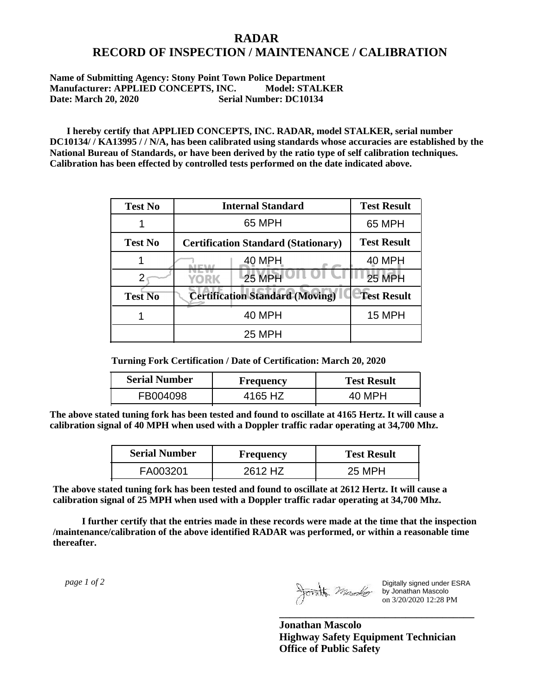## **RADAR RECORD OF INSPECTION / MAINTENANCE / CALIBRATION**

## **Name of Submitting Agency: Stony Point Town Police Department Manufacturer: APPLIED CONCEPTS, INC. Model: STALKER Date: March 20, 2020 Serial Number: DC10134**

 **I hereby certify that APPLIED CONCEPTS, INC. RADAR, model STALKER, serial number DC10134/ / KA13995 / / N/A, has been calibrated using standards whose accuracies are established by the National Bureau of Standards, or have been derived by the ratio type of self calibration techniques. Calibration has been effected by controlled tests performed on the date indicated above.**

| <b>Test No</b> | <b>Internal Standard</b>                   | <b>Test Result</b> |
|----------------|--------------------------------------------|--------------------|
|                | 65 MPH                                     | 65 MPH             |
| <b>Test No</b> | <b>Certification Standard (Stationary)</b> | <b>Test Result</b> |
|                | 40 MPH                                     | 40 MPH             |
|                | <b>25 MPH</b><br>YORK                      | <b>25 MPH</b>      |
| <b>Test No</b> | <b>Certification Standard (Moving)</b>     | <b>Test Result</b> |
|                | 40 MPH                                     | 15 MPH             |
|                | <b>25 MPH</b>                              |                    |

**Turning Fork Certification / Date of Certification: March 20, 2020**

| <b>Serial Number</b> | Frequency | <b>Test Result</b> |
|----------------------|-----------|--------------------|
| FB004098             | 4165 HZ   | 40 MPH             |

**The above stated tuning fork has been tested and found to oscillate at 4165 Hertz. It will cause a calibration signal of 40 MPH when used with a Doppler traffic radar operating at 34,700 Mhz.**

| <b>Serial Number</b> | Frequency | <b>Test Result</b> |
|----------------------|-----------|--------------------|
| FA003201             | 2612 HZ   | 25 MPH             |

**The above stated tuning fork has been tested and found to oscillate at 2612 Hertz. It will cause a calibration signal of 25 MPH when used with a Doppler traffic radar operating at 34,700 Mhz.**

 **I further certify that the entries made in these records were made at the time that the inspection /maintenance/calibration of the above identified RADAR was performed, or within a reasonable time thereafter.**

 *page 1 of 2* 

Digitally signed under ESRA by Jonathan Mascolo on 3/20/2020 12:28 PM

**Jonathan Mascolo Highway Safety Equipment Technician Office of Public Safety**

**\_\_\_\_\_\_\_\_\_\_\_\_\_\_\_\_\_\_\_\_\_\_\_\_\_\_\_\_\_\_\_\_\_\_\_\_\_**